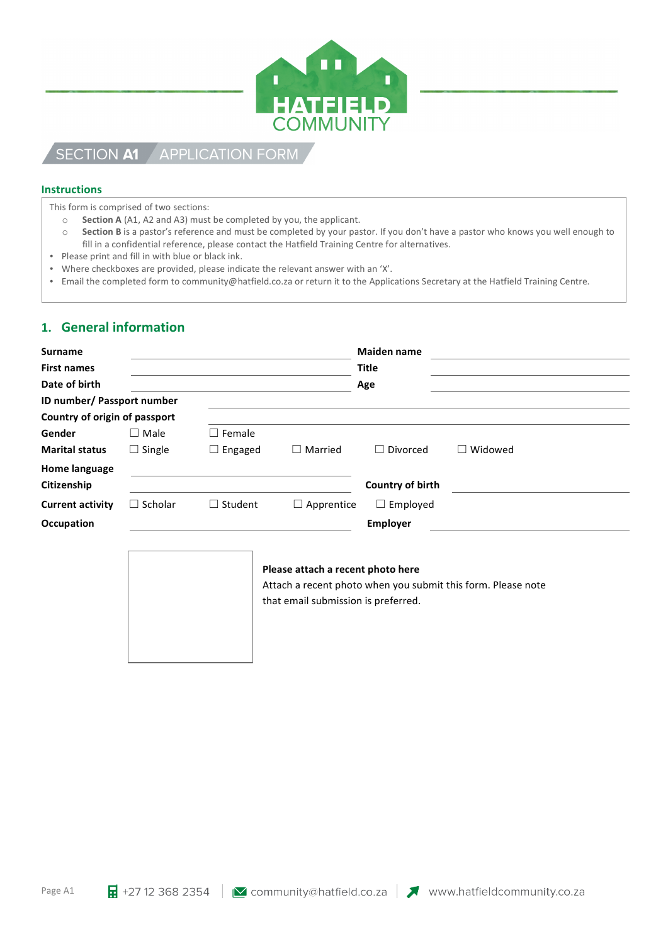

# SECTION A1 APPLICATION FORM

### **Instructions**

This form is comprised of two sections:

- o **Section A** (A1, A2 and A3) must be completed by you, the applicant.
- $\circ$  **Section B** is a pastor's reference and must be completed by your pastor. If you don't have a pastor who knows you well enough to fill in a confidential reference, please contact the Hatfield Training Centre for alternatives.
- Please print and fill in with blue or black ink.
- Where checkboxes are provided, please indicate the relevant answer with an 'X'.
- Email the completed form to community@hatfield.co.za or return it to the Applications Secretary at the Hatfield Training Centre.

## 1. **General information**

| <b>Surname</b>                |                |                |                                                                          | <b>Maiden name</b> |                                                              |
|-------------------------------|----------------|----------------|--------------------------------------------------------------------------|--------------------|--------------------------------------------------------------|
| <b>First names</b>            |                |                |                                                                          | <b>Title</b>       |                                                              |
| Date of birth                 |                |                | Age                                                                      |                    |                                                              |
| ID number/ Passport number    |                |                |                                                                          |                    |                                                              |
| Country of origin of passport |                |                |                                                                          |                    |                                                              |
| Gender                        | $\Box$ Male    | Female         |                                                                          |                    |                                                              |
| <b>Marital status</b>         | $\Box$ Single  | $\Box$ Engaged | $\Box$ Married                                                           | $\Box$ Divorced    | $\Box$ Widowed                                               |
| <b>Home language</b>          |                |                |                                                                          |                    |                                                              |
| Citizenship                   |                |                |                                                                          | Country of birth   |                                                              |
| <b>Current activity</b>       | $\Box$ Scholar | $\Box$ Student | $\Box$ Apprentice                                                        | $\Box$ Employed    |                                                              |
| Occupation                    |                |                |                                                                          | <b>Employer</b>    |                                                              |
|                               |                |                | Please attach a recent photo here<br>that email submission is preferred. |                    | Attach a recent photo when you submit this form. Please note |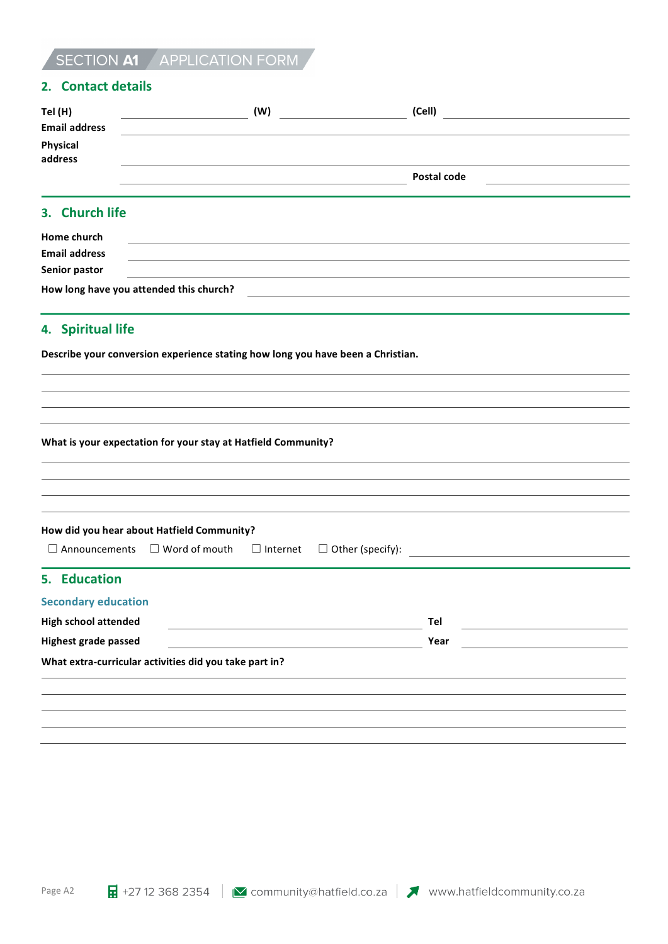# SECTION A1 APPLICATION FORM

## **2. Contact details**

| Tel (H)<br>Email address | (W) | (Cell)      |  |
|--------------------------|-----|-------------|--|
|                          |     |             |  |
| Physical<br>address      |     |             |  |
|                          |     |             |  |
|                          |     | Postal code |  |
|                          |     |             |  |

## **3.** Church life

| Home church          |                                         |  |  |
|----------------------|-----------------------------------------|--|--|
| <b>Email address</b> |                                         |  |  |
| Senior pastor        |                                         |  |  |
|                      | How long have you attended this church? |  |  |

# **4.** Spiritual life

**Describe your conversion experience stating how long you have been a Christian.** 

**What is your expectation for your stay at Hatfield Community?** 

|                                                        | How did you hear about Hatfield Community? |  |      |  |
|--------------------------------------------------------|--------------------------------------------|--|------|--|
|                                                        |                                            |  |      |  |
| 5. Education                                           |                                            |  |      |  |
| <b>Secondary education</b>                             |                                            |  |      |  |
| <b>High school attended</b>                            |                                            |  | Tel  |  |
| <b>Highest grade passed</b>                            |                                            |  | Year |  |
| What extra-curricular activities did you take part in? |                                            |  |      |  |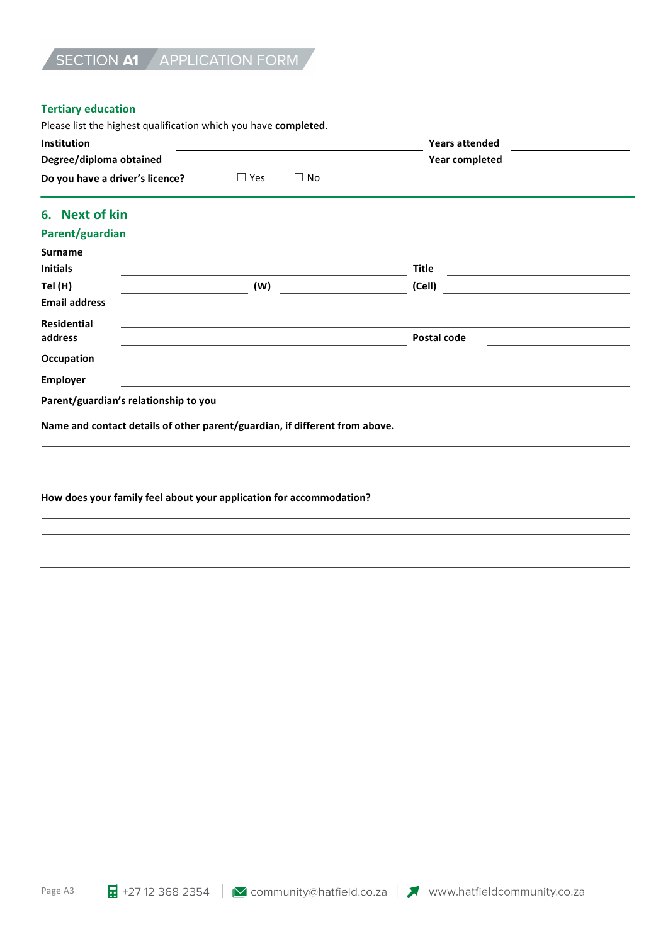### **Tertiary education**

| Please list the highest qualification which you have <b>completed</b> . |            |     |                       |  |  |  |  |
|-------------------------------------------------------------------------|------------|-----|-----------------------|--|--|--|--|
| Institution                                                             |            |     | <b>Years attended</b> |  |  |  |  |
| Degree/diploma obtained                                                 |            |     | Year completed        |  |  |  |  |
| Do you have a driver's licence?                                         | $\Box$ Yes | No. |                       |  |  |  |  |

# **6. Next of kin**

# **Parent/guardian**

| <b>Surname</b><br><b>Initials</b> |                                                                             | <b>Title</b> |  |
|-----------------------------------|-----------------------------------------------------------------------------|--------------|--|
|                                   |                                                                             |              |  |
| Tel (H)                           | (W)                                                                         | (Cell)       |  |
| <b>Email address</b>              |                                                                             |              |  |
| <b>Residential</b>                |                                                                             |              |  |
| address                           |                                                                             | Postal code  |  |
| Occupation                        |                                                                             |              |  |
| Employer                          |                                                                             |              |  |
|                                   | Parent/guardian's relationship to you                                       |              |  |
|                                   | Name and contact details of other parent/guardian, if different from above. |              |  |

#### How does your family feel about your application for accommodation?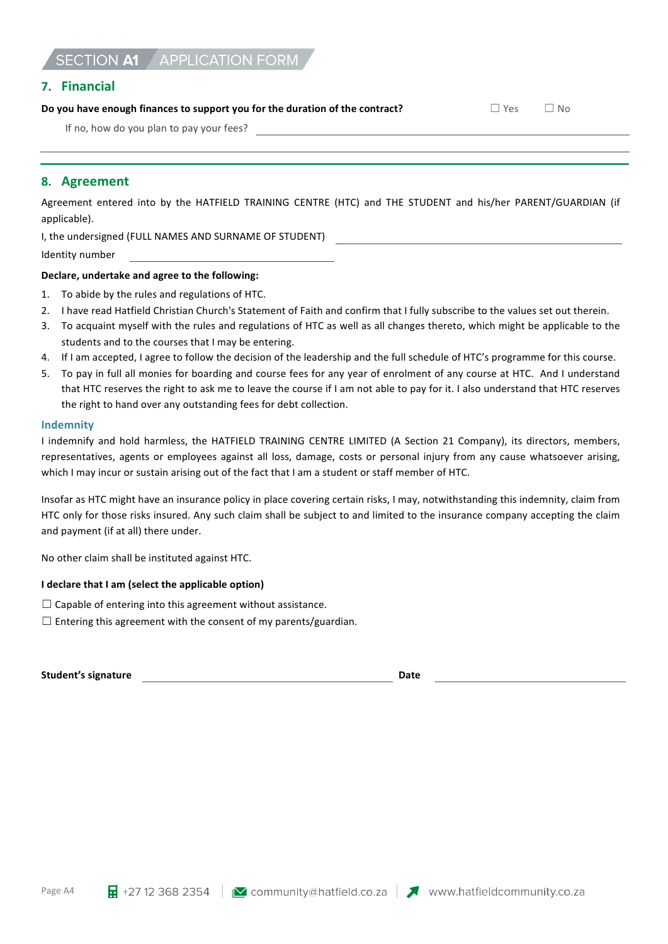# SECTION A1 APPLICATION FORM

### **7. Financial**

## **Do you have enough finances to support you for the duration of the contract?** □ Yes □ No

If no, how do you plan to pay your fees?

## 8. **Agreement**

Agreement entered into by the HATFIELD TRAINING CENTRE (HTC) and THE STUDENT and his/her PARENT/GUARDIAN (if applicable).

I, the undersigned (FULL NAMES AND SURNAME OF STUDENT)

Identity number

#### Declare, undertake and agree to the following:

- 1. To abide by the rules and regulations of HTC.
- 2. I have read Hatfield Christian Church's Statement of Faith and confirm that I fully subscribe to the values set out therein.
- 3. To acquaint myself with the rules and regulations of HTC as well as all changes thereto, which might be applicable to the students and to the courses that I may be entering.
- 4. If I am accepted, I agree to follow the decision of the leadership and the full schedule of HTC's programme for this course.
- 5. To pay in full all monies for boarding and course fees for any year of enrolment of any course at HTC. And I understand that HTC reserves the right to ask me to leave the course if I am not able to pay for it. I also understand that HTC reserves the right to hand over any outstanding fees for debt collection.

#### **Indemnity**

I indemnify and hold harmless, the HATFIELD TRAINING CENTRE LIMITED (A Section 21 Company), its directors, members, representatives, agents or employees against all loss, damage, costs or personal injury from any cause whatsoever arising, which I may incur or sustain arising out of the fact that I am a student or staff member of HTC.

Insofar as HTC might have an insurance policy in place covering certain risks, I may, notwithstanding this indemnity, claim from HTC only for those risks insured. Any such claim shall be subject to and limited to the insurance company accepting the claim and payment (if at all) there under.

No other claim shall be instituted against HTC.

#### **I** declare that I am (select the applicable option)

 $\Box$  Capable of entering into this agreement without assistance.

 $\Box$  Entering this agreement with the consent of my parents/guardian.

**Student's signature and the student's signature Date**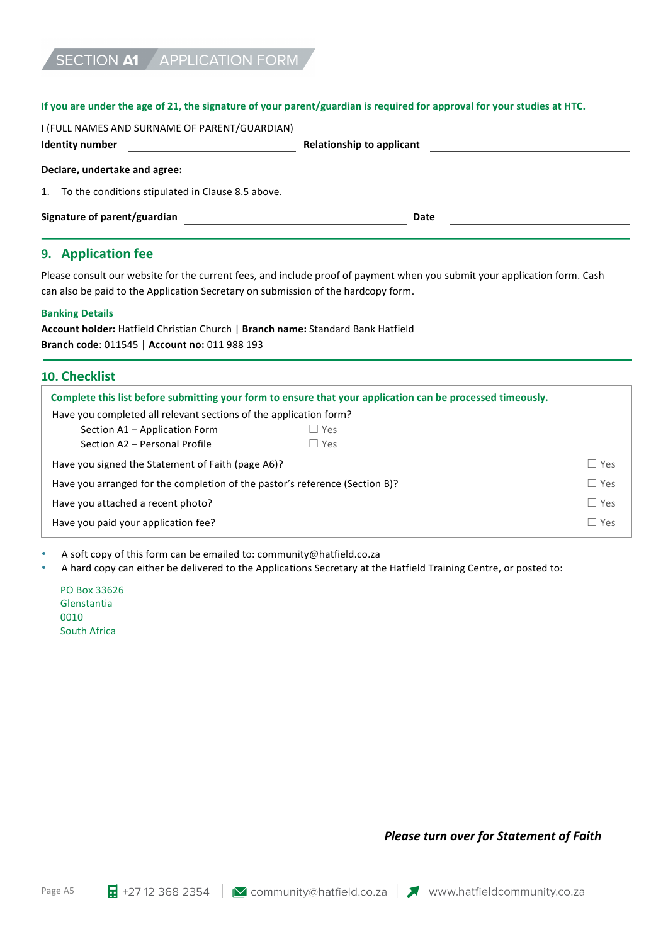#### If you are under the age of 21, the signature of your parent/guardian is required for approval for your studies at HTC.

| I (FULL NAMES AND SURNAME OF PARENT/GUARDIAN)<br>Identity number | <b>Relationship to applicant</b> |  |
|------------------------------------------------------------------|----------------------------------|--|
| Declare, undertake and agree:                                    |                                  |  |
| To the conditions stipulated in Clause 8.5 above.<br>1.          |                                  |  |
| Signature of parent/guardian                                     | Date                             |  |
|                                                                  |                                  |  |

## **9. Application** fee

Please consult our website for the current fees, and include proof of payment when you submit your application form. Cash can also be paid to the Application Secretary on submission of the hardcopy form.

#### **Banking Details**

| Account holder: Hatfield Christian Church   Branch name: Standard Bank Hatfield |  |
|---------------------------------------------------------------------------------|--|
| <b>Branch code: 011545   Account no: 011 988 193</b>                            |  |

## **10. Checklist**

| Complete this list before submitting your form to ensure that your application can be processed timeously. |               |            |  |  |  |  |
|------------------------------------------------------------------------------------------------------------|---------------|------------|--|--|--|--|
| Have you completed all relevant sections of the application form?                                          |               |            |  |  |  |  |
| Section A1 – Application Form                                                                              | $\square$ Yes |            |  |  |  |  |
| Section A2 - Personal Profile                                                                              | $\Box$ Yes    |            |  |  |  |  |
| $\Box$ Yes<br>Have you signed the Statement of Faith (page A6)?                                            |               |            |  |  |  |  |
| $\Box$ Yes<br>Have you arranged for the completion of the pastor's reference (Section B)?                  |               |            |  |  |  |  |
| Have you attached a recent photo?                                                                          |               | $\Box$ Yes |  |  |  |  |
| Have you paid your application fee?                                                                        |               | $\Box$ Yes |  |  |  |  |

A soft copy of this form can be emailed to: community@hatfield.co.za

• A hard copy can either be delivered to the Applications Secretary at the Hatfield Training Centre, or posted to:

PO Box 33626 Glenstantia 0010 South Africa

*Please turn over for Statement of Faith*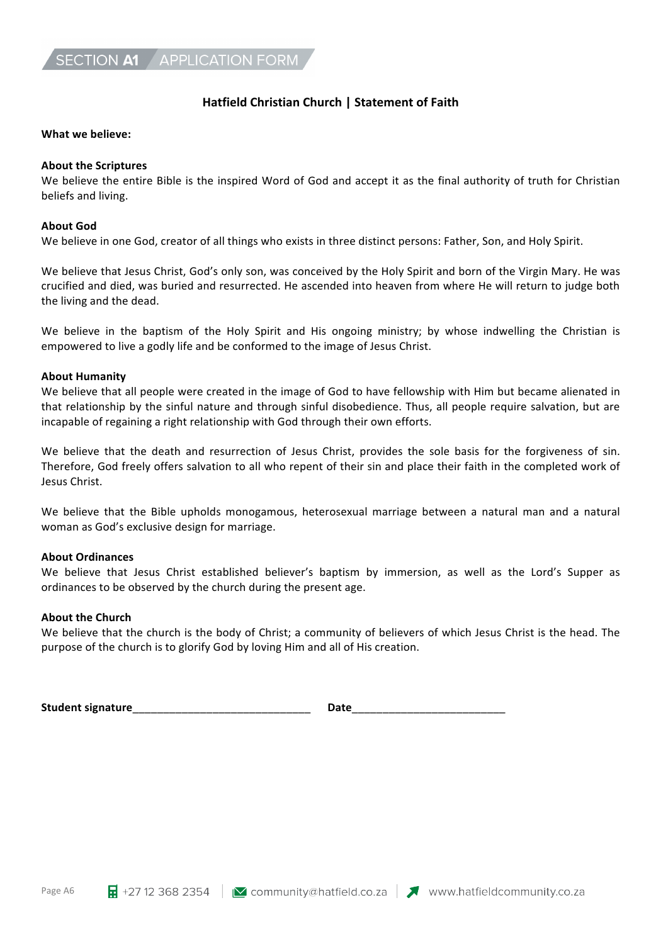## **Hatfield Christian Church | Statement of Faith**

#### What we believe:

### **About the Scriptures**

We believe the entire Bible is the inspired Word of God and accept it as the final authority of truth for Christian beliefs and living.

### **About God**

We believe in one God, creator of all things who exists in three distinct persons: Father, Son, and Holy Spirit.

We believe that Jesus Christ, God's only son, was conceived by the Holy Spirit and born of the Virgin Mary. He was crucified and died, was buried and resurrected. He ascended into heaven from where He will return to judge both the living and the dead.

We believe in the baptism of the Holy Spirit and His ongoing ministry; by whose indwelling the Christian is empowered to live a godly life and be conformed to the image of Jesus Christ.

#### **About Humanity**

We believe that all people were created in the image of God to have fellowship with Him but became alienated in that relationship by the sinful nature and through sinful disobedience. Thus, all people require salvation, but are incapable of regaining a right relationship with God through their own efforts.

We believe that the death and resurrection of Jesus Christ, provides the sole basis for the forgiveness of sin. Therefore, God freely offers salvation to all who repent of their sin and place their faith in the completed work of Jesus Christ.

We believe that the Bible upholds monogamous, heterosexual marriage between a natural man and a natural woman as God's exclusive design for marriage.

## **About Ordinances**

We believe that Jesus Christ established believer's baptism by immersion, as well as the Lord's Supper as ordinances to be observed by the church during the present age.

## **About the Church**

We believe that the church is the body of Christ; a community of believers of which Jesus Christ is the head. The purpose of the church is to glorify God by loving Him and all of His creation.

Student signature **but all the student** signature **but all the students of the students of the students of the studies of the students of the students of the students of the students of the students of the students of the**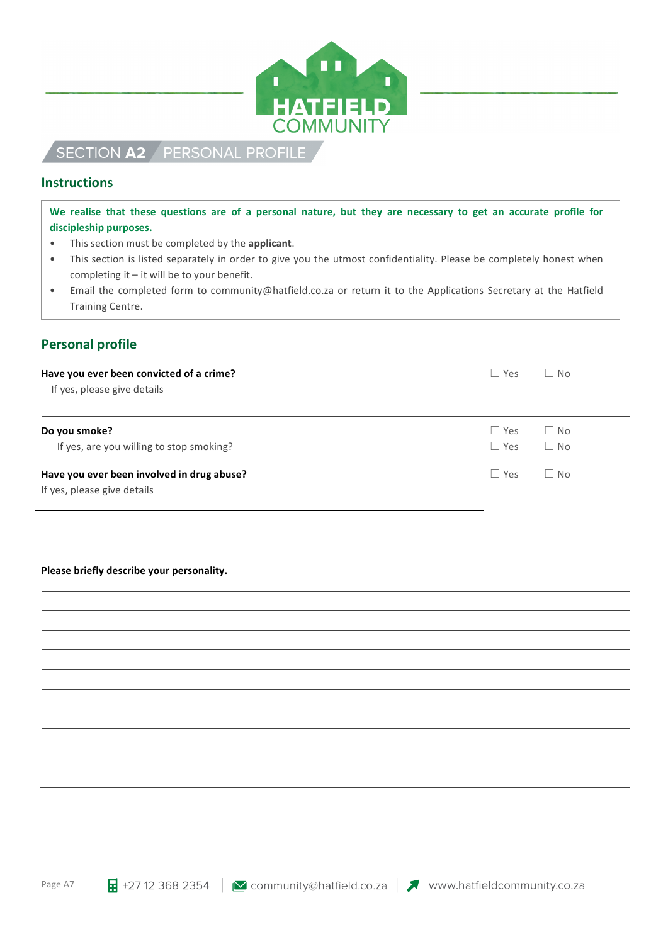

# SECTION A2 PERSONAL PROFILE

## **Instructions**

We realise that these questions are of a personal nature, but they are necessary to get an accurate profile for discipleship purposes.

- This section must be completed by the **applicant**.
- This section is listed separately in order to give you the utmost confidentiality. Please be completely honest when completing it  $-$  it will be to your benefit.
- Email the completed form to community@hatfield.co.za or return it to the Applications Secretary at the Hatfield Training Centre.

# **Personal profile**

| Have you ever been convicted of a crime?   | $\Box$ Yes | $\Box$ No |
|--------------------------------------------|------------|-----------|
| If yes, please give details                |            |           |
| Do you smoke?                              | $\Box$ Yes | $\Box$ No |
| If yes, are you willing to stop smoking?   | $\Box$ Yes | $\Box$ No |
| Have you ever been involved in drug abuse? | $\Box$ Yes | $\Box$ No |
| If yes, please give details                |            |           |
|                                            |            |           |
|                                            |            |           |
| Please briefly describe your personality.  |            |           |
|                                            |            |           |
|                                            |            |           |
|                                            |            |           |
|                                            |            |           |
|                                            |            |           |
|                                            |            |           |
|                                            |            |           |
|                                            |            |           |
|                                            |            |           |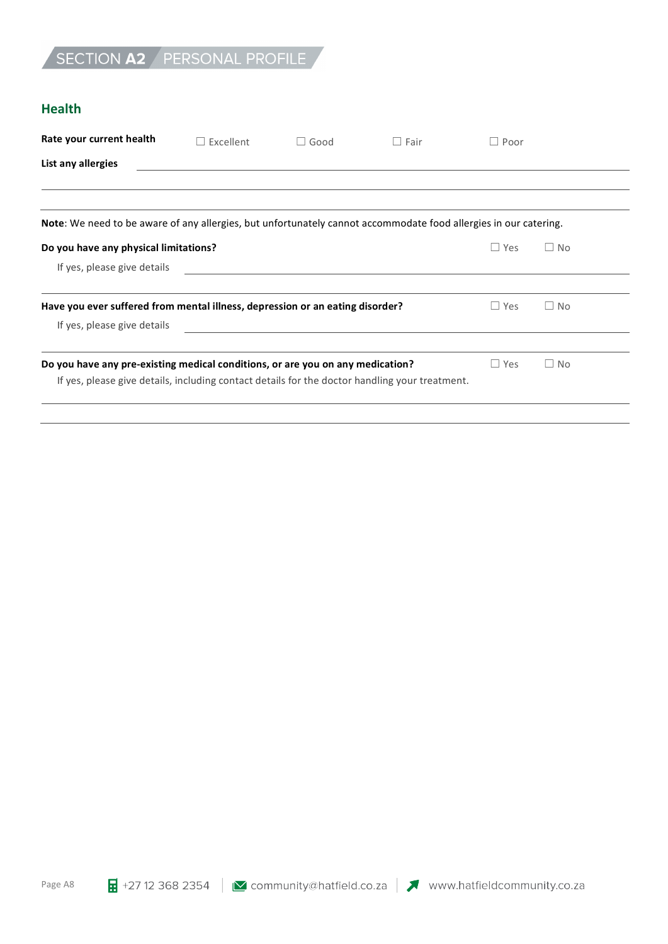# SECTION A2 PERSONAL PROFILE

## **Health**

| Rate your current health                                                                                         | $\Box$ Excellent | $\Box$ Good | $\Box$ Fair | Poor       |           |  |
|------------------------------------------------------------------------------------------------------------------|------------------|-------------|-------------|------------|-----------|--|
| List any allergies                                                                                               |                  |             |             |            |           |  |
|                                                                                                                  |                  |             |             |            |           |  |
|                                                                                                                  |                  |             |             |            |           |  |
| Note: We need to be aware of any allergies, but unfortunately cannot accommodate food allergies in our catering. |                  |             |             |            |           |  |
| Do you have any physical limitations?                                                                            |                  |             |             | $\Box$ Yes | $\Box$ No |  |
| If yes, please give details                                                                                      |                  |             |             |            |           |  |
| Have you ever suffered from mental illness, depression or an eating disorder?                                    |                  |             |             | $\Box$ Yes | $\Box$ No |  |
| If yes, please give details                                                                                      |                  |             |             |            |           |  |
|                                                                                                                  |                  |             |             |            |           |  |
| Do you have any pre-existing medical conditions, or are you on any medication?                                   |                  |             |             | $\Box$ Yes | $\Box$ No |  |
| If yes, please give details, including contact details for the doctor handling your treatment.                   |                  |             |             |            |           |  |
|                                                                                                                  |                  |             |             |            |           |  |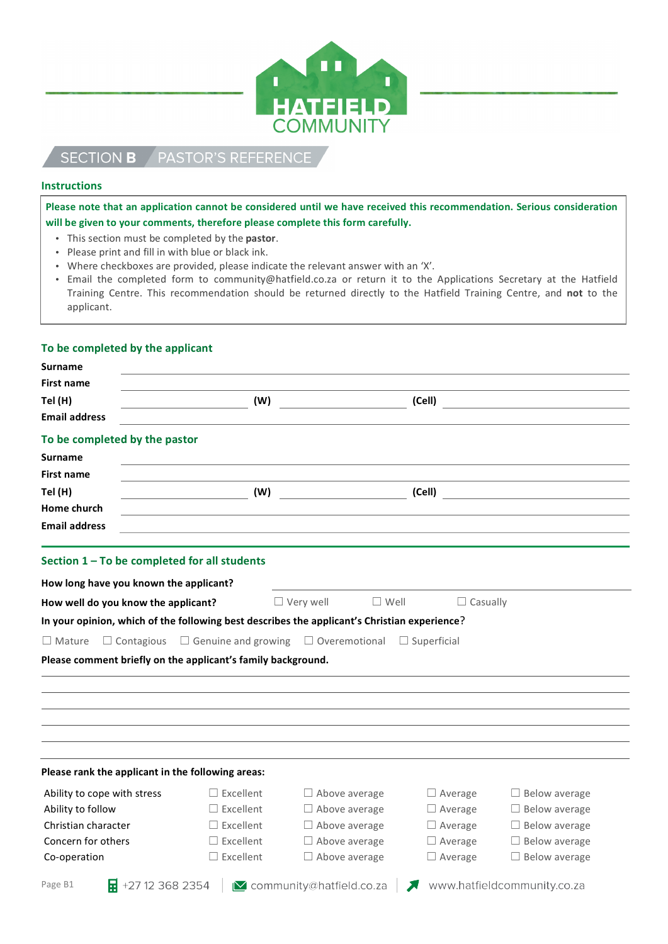

#### PASTOR'S REFERENCE **SECTION B**

#### **Instructions**

Please note that an application cannot be considered until we have received this recommendation. Serious consideration will be given to your comments, therefore please complete this form carefully.

- This section must be completed by the **pastor**.
- Please print and fill in with blue or black ink.
- Where checkboxes are provided, please indicate the relevant answer with an 'X'.
- Email the completed form to community@hatfield.co.za or return it to the Applications Secretary at the Hatfield Training Centre. This recommendation should be returned directly to the Hatfield Training Centre, and not to the applicant.

#### To be completed by the applicant

| Surname                                                                                            |                  |                                   |                 |                                                                                                                                                                                                                                                                                                                                                                     |  |
|----------------------------------------------------------------------------------------------------|------------------|-----------------------------------|-----------------|---------------------------------------------------------------------------------------------------------------------------------------------------------------------------------------------------------------------------------------------------------------------------------------------------------------------------------------------------------------------|--|
| First name<br>Tel (H)                                                                              | (W)              |                                   | (Cell)          |                                                                                                                                                                                                                                                                                                                                                                     |  |
| <b>Email address</b>                                                                               |                  |                                   |                 |                                                                                                                                                                                                                                                                                                                                                                     |  |
| To be completed by the pastor                                                                      |                  |                                   |                 |                                                                                                                                                                                                                                                                                                                                                                     |  |
| Surname                                                                                            |                  |                                   |                 |                                                                                                                                                                                                                                                                                                                                                                     |  |
| <b>First name</b>                                                                                  |                  |                                   |                 |                                                                                                                                                                                                                                                                                                                                                                     |  |
| Tel (H)                                                                                            |                  | (W)                               |                 | $\begin{picture}(18,10) \put(0,0){\vector(1,0){100}} \put(15,0){\vector(1,0){100}} \put(15,0){\vector(1,0){100}} \put(15,0){\vector(1,0){100}} \put(15,0){\vector(1,0){100}} \put(15,0){\vector(1,0){100}} \put(15,0){\vector(1,0){100}} \put(15,0){\vector(1,0){100}} \put(15,0){\vector(1,0){100}} \put(15,0){\vector(1,0){100}} \put(15,0){\vector(1,0){100}} \$ |  |
| Home church                                                                                        |                  |                                   |                 |                                                                                                                                                                                                                                                                                                                                                                     |  |
| <b>Email address</b>                                                                               |                  |                                   |                 |                                                                                                                                                                                                                                                                                                                                                                     |  |
| Section 1 - To be completed for all students                                                       |                  |                                   |                 |                                                                                                                                                                                                                                                                                                                                                                     |  |
| How long have you known the applicant?                                                             |                  |                                   |                 |                                                                                                                                                                                                                                                                                                                                                                     |  |
| How well do you know the applicant?                                                                |                  | $\Box$ Very well<br>$\Box$ Well   | $\Box$ Casually |                                                                                                                                                                                                                                                                                                                                                                     |  |
| In your opinion, which of the following best describes the applicant's Christian experience?       |                  |                                   |                 |                                                                                                                                                                                                                                                                                                                                                                     |  |
| $\Box$ Mature $\Box$ Contagious $\Box$ Genuine and growing $\Box$ Overemotional $\Box$ Superficial |                  |                                   |                 |                                                                                                                                                                                                                                                                                                                                                                     |  |
| Please comment briefly on the applicant's family background.                                       |                  |                                   |                 |                                                                                                                                                                                                                                                                                                                                                                     |  |
|                                                                                                    |                  |                                   |                 |                                                                                                                                                                                                                                                                                                                                                                     |  |
|                                                                                                    |                  |                                   |                 |                                                                                                                                                                                                                                                                                                                                                                     |  |
|                                                                                                    |                  |                                   |                 |                                                                                                                                                                                                                                                                                                                                                                     |  |
|                                                                                                    |                  |                                   |                 |                                                                                                                                                                                                                                                                                                                                                                     |  |
|                                                                                                    |                  |                                   |                 |                                                                                                                                                                                                                                                                                                                                                                     |  |
|                                                                                                    |                  |                                   |                 |                                                                                                                                                                                                                                                                                                                                                                     |  |
| Please rank the applicant in the following areas:                                                  |                  |                                   |                 |                                                                                                                                                                                                                                                                                                                                                                     |  |
| Ability to cope with stress                                                                        | $\Box$ Excellent | $\Box$ Above average              | $\Box$ Average  | $\Box$ Below average                                                                                                                                                                                                                                                                                                                                                |  |
| Ability to follow                                                                                  | $\Box$ Excellent | $\Box$ Above average              | $\Box$ Average  | $\Box$ Below average                                                                                                                                                                                                                                                                                                                                                |  |
| Christian character                                                                                | $\Box$ Excellent | $\Box$ Above average              | $\Box$ Average  | $\Box$ Below average                                                                                                                                                                                                                                                                                                                                                |  |
| Concern for others                                                                                 | $\Box$ Excellent | $\Box$ Above average              | $\Box$ Average  | $\Box$ Below average                                                                                                                                                                                                                                                                                                                                                |  |
| Co-operation                                                                                       | $\Box$ Excellent | $\Box$ Above average              | $\Box$ Average  | $\Box$ Below average                                                                                                                                                                                                                                                                                                                                                |  |
| $\frac{1}{2}$ +27 12 368 2354  <br>Page B1                                                         |                  | <b>∐</b> community@hatfield.co.za |                 | www.hatfieldcommunity.co.za                                                                                                                                                                                                                                                                                                                                         |  |